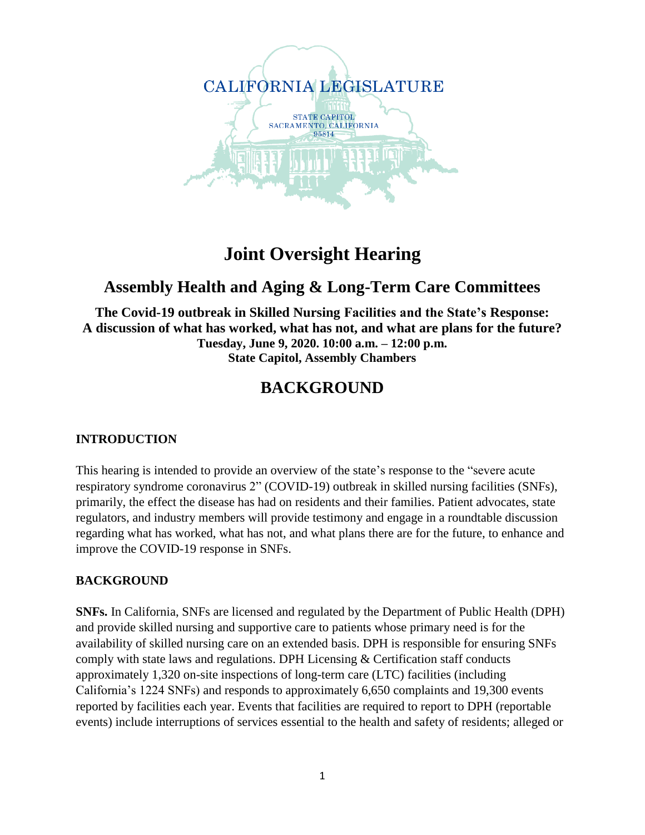

# **Joint Oversight Hearing**

### **Assembly Health and Aging & Long-Term Care Committees**

**The Covid-19 outbreak in Skilled Nursing Facilities and the State's Response: A discussion of what has worked, what has not, and what are plans for the future? Tuesday, June 9, 2020. 10:00 a.m. – 12:00 p.m. State Capitol, Assembly Chambers**

## **BACKGROUND**

### **INTRODUCTION**

This hearing is intended to provide an overview of the state's response to the "severe acute respiratory syndrome coronavirus 2" (COVID-19) outbreak in skilled nursing facilities (SNFs), primarily, the effect the disease has had on residents and their families. Patient advocates, state regulators, and industry members will provide testimony and engage in a roundtable discussion regarding what has worked, what has not, and what plans there are for the future, to enhance and improve the COVID-19 response in SNFs.

### **BACKGROUND**

**SNFs.** In California, SNFs are licensed and regulated by the Department of Public Health (DPH) and provide skilled nursing and supportive care to patients whose primary need is for the availability of skilled nursing care on an extended basis. DPH is responsible for ensuring SNFs comply with state laws and regulations. DPH Licensing & Certification staff conducts approximately 1,320 on-site inspections of long-term care (LTC) facilities (including California's 1224 SNFs) and responds to approximately 6,650 complaints and 19,300 events reported by facilities each year. Events that facilities are required to report to DPH (reportable events) include interruptions of services essential to the health and safety of residents; alleged or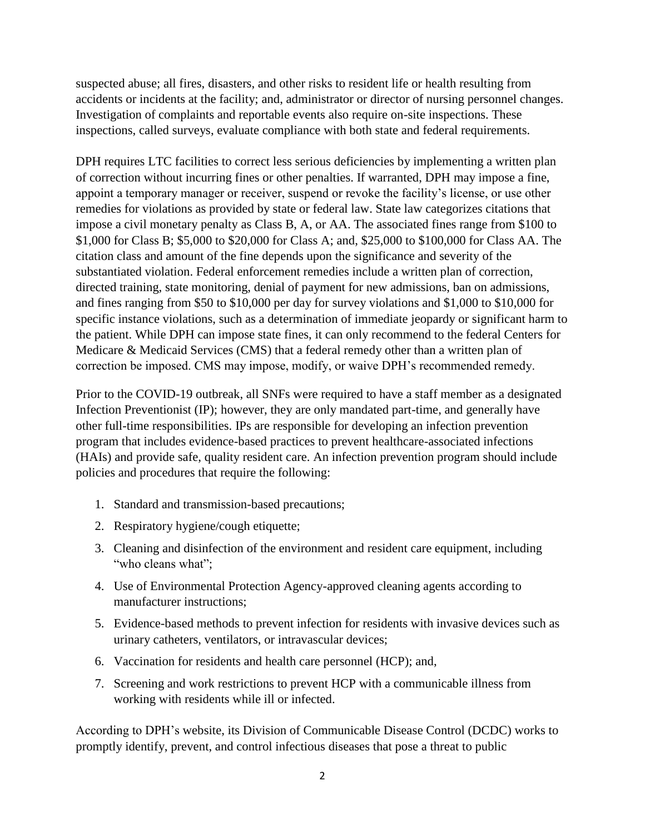suspected abuse; all fires, disasters, and other risks to resident life or health resulting from accidents or incidents at the facility; and, administrator or director of nursing personnel changes. Investigation of complaints and reportable events also require on-site inspections. These inspections, called surveys, evaluate compliance with both state and federal requirements.

DPH requires LTC facilities to correct less serious deficiencies by implementing a written plan of correction without incurring fines or other penalties. If warranted, DPH may impose a fine, appoint a temporary manager or receiver, suspend or revoke the facility's license, or use other remedies for violations as provided by state or federal law. State law categorizes citations that impose a civil monetary penalty as Class B, A, or AA. The associated fines range from \$100 to \$1,000 for Class B; \$5,000 to \$20,000 for Class A; and, \$25,000 to \$100,000 for Class AA. The citation class and amount of the fine depends upon the significance and severity of the substantiated violation. Federal enforcement remedies include a written plan of correction, directed training, state monitoring, denial of payment for new admissions, ban on admissions, and fines ranging from \$50 to \$10,000 per day for survey violations and \$1,000 to \$10,000 for specific instance violations, such as a determination of immediate jeopardy or significant harm to the patient. While DPH can impose state fines, it can only recommend to the federal Centers for Medicare & Medicaid Services (CMS) that a federal remedy other than a written plan of correction be imposed. CMS may impose, modify, or waive DPH's recommended remedy.

Prior to the COVID-19 outbreak, all SNFs were required to have a staff member as a designated Infection Preventionist (IP); however, they are only mandated part-time, and generally have other full-time responsibilities. IPs are responsible for developing an infection prevention program that includes evidence-based practices to prevent healthcare-associated infections (HAIs) and provide safe, quality resident care. An infection prevention program should include policies and procedures that require the following:

- 1. Standard and transmission-based precautions;
- 2. Respiratory hygiene/cough etiquette;
- 3. Cleaning and disinfection of the environment and resident care equipment, including "who cleans what";
- 4. Use of Environmental Protection Agency-approved cleaning agents according to manufacturer instructions;
- 5. Evidence-based methods to prevent infection for residents with invasive devices such as urinary catheters, ventilators, or intravascular devices;
- 6. Vaccination for residents and health care personnel (HCP); and,
- 7. Screening and work restrictions to prevent HCP with a communicable illness from working with residents while ill or infected.

According to DPH's website, its Division of Communicable Disease Control (DCDC) works to promptly identify, prevent, and control infectious diseases that pose a threat to public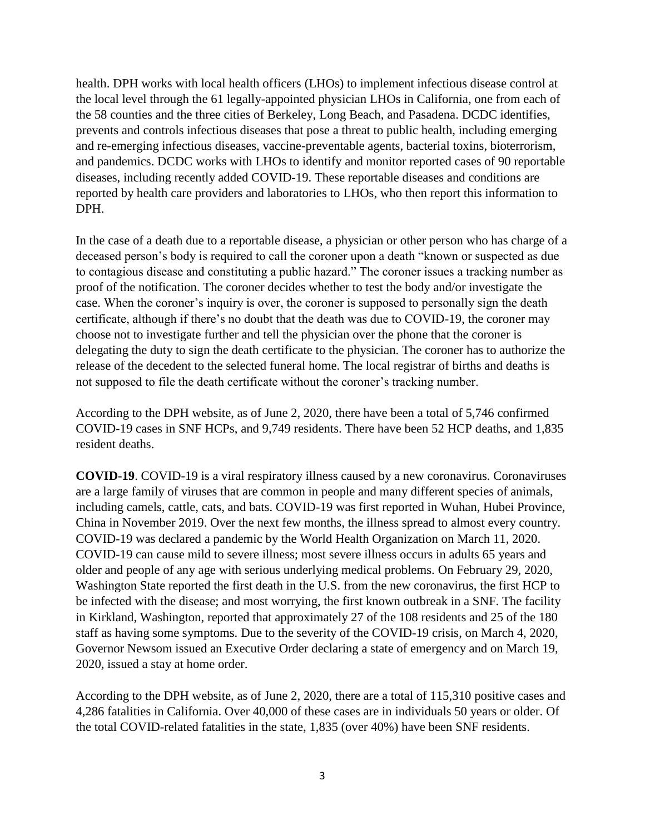health. DPH works with local health officers (LHOs) to implement infectious disease control at the local level through the 61 legally-appointed physician LHOs in California, one from each of the 58 counties and the three cities of Berkeley, Long Beach, and Pasadena. DCDC identifies, prevents and controls infectious diseases that pose a threat to public health, including emerging and re-emerging infectious diseases, vaccine-preventable agents, bacterial toxins, bioterrorism, and pandemics. DCDC works with LHOs to identify and monitor reported cases of 90 reportable diseases, including recently added COVID-19. These reportable diseases and conditions are reported by health care providers and laboratories to LHOs, who then report this information to DPH.

In the case of a death due to a reportable disease, a physician or other person who has charge of a deceased person's body is required to call the coroner upon a death "known or suspected as due to contagious disease and constituting a public hazard." The coroner issues a tracking number as proof of the notification. The coroner decides whether to test the body and/or investigate the case. When the coroner's inquiry is over, the coroner is supposed to personally sign the death certificate, although if there's no doubt that the death was due to COVID-19, the coroner may choose not to investigate further and tell the physician over the phone that the coroner is delegating the duty to sign the death certificate to the physician. The coroner has to authorize the release of the decedent to the selected funeral home. The local registrar of births and deaths is not supposed to file the death certificate without the coroner's tracking number.

According to the DPH website, as of June 2, 2020, there have been a total of 5,746 confirmed COVID-19 cases in SNF HCPs, and 9,749 residents. There have been 52 HCP deaths, and 1,835 resident deaths.

**COVID-19**. COVID-19 is a viral respiratory illness caused by a new coronavirus. Coronaviruses are a large family of viruses that are common in people and many different species of animals, including camels, cattle, cats, and bats. COVID-19 was first reported in Wuhan, Hubei Province, China in November 2019. Over the next few months, the illness spread to almost every country. COVID-19 was declared a pandemic by the World Health Organization on March 11, 2020. COVID-19 can cause mild to severe illness; most severe illness occurs in adults 65 years and older and people of any age with serious underlying medical problems. On February 29, 2020, Washington State reported the first death in the U.S. from the new coronavirus, the first HCP to be infected with the disease; and most worrying, the first known outbreak in a SNF. The facility in Kirkland, Washington, reported that approximately 27 of the 108 residents and 25 of the 180 staff as having some symptoms. Due to the severity of the COVID-19 crisis, on March 4, 2020, Governor Newsom issued an Executive Order declaring a state of emergency and on March 19, 2020, issued a stay at home order.

According to the DPH website, as of June 2, 2020, there are a total of 115,310 positive cases and 4,286 fatalities in California. Over 40,000 of these cases are in individuals 50 years or older. Of the total COVID-related fatalities in the state, 1,835 (over 40%) have been SNF residents.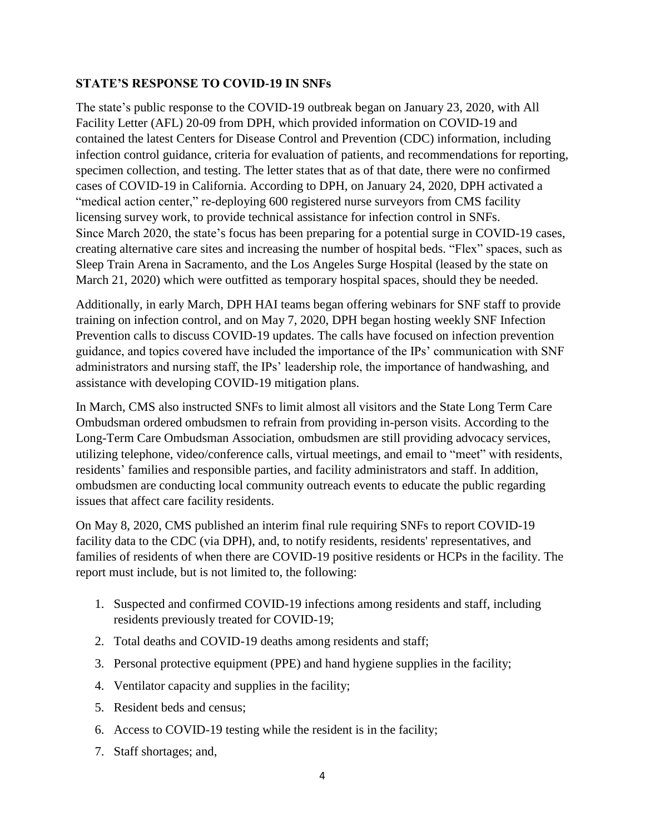### **STATE'S RESPONSE TO COVID-19 IN SNFs**

The state's public response to the COVID-19 outbreak began on January 23, 2020, with All Facility Letter (AFL) 20-09 from DPH, which provided information on COVID-19 and contained the latest Centers for Disease Control and Prevention (CDC) information, including infection control guidance, criteria for evaluation of patients, and recommendations for reporting, specimen collection, and testing. The letter states that as of that date, there were no confirmed cases of COVID-19 in California. According to DPH, on January 24, 2020, DPH activated a "medical action center," re-deploying 600 registered nurse surveyors from CMS facility licensing survey work, to provide technical assistance for infection control in SNFs. Since March 2020, the state's focus has been preparing for a potential surge in COVID-19 cases, creating alternative care sites and increasing the number of hospital beds. "Flex" spaces, such as Sleep Train Arena in Sacramento, and the Los Angeles Surge Hospital (leased by the state on March 21, 2020) which were outfitted as temporary hospital spaces, should they be needed.

Additionally, in early March, DPH HAI teams began offering webinars for SNF staff to provide training on infection control, and on May 7, 2020, DPH began hosting weekly SNF Infection Prevention calls to discuss COVID-19 updates. The calls have focused on infection prevention guidance, and topics covered have included the importance of the IPs' communication with SNF administrators and nursing staff, the IPs' leadership role, the importance of handwashing, and assistance with developing COVID-19 mitigation plans.

In March, CMS also instructed SNFs to limit almost all visitors and the State Long Term Care Ombudsman ordered ombudsmen to refrain from providing in-person visits. According to the Long-Term Care Ombudsman Association, ombudsmen are still providing advocacy services, utilizing telephone, video/conference calls, virtual meetings, and email to "meet" with residents, residents' families and responsible parties, and facility administrators and staff. In addition, ombudsmen are conducting local community outreach events to educate the public regarding issues that affect care facility residents.

On May 8, 2020, CMS published an interim final rule requiring SNFs to report COVID-19 facility data to the CDC (via DPH), and, to notify residents, residents' representatives, and families of residents of when there are COVID-19 positive residents or HCPs in the facility. The report must include, but is not limited to, the following:

- 1. Suspected and confirmed COVID-19 infections among residents and staff, including residents previously treated for COVID-19;
- 2. Total deaths and COVID-19 deaths among residents and staff;
- 3. Personal protective equipment (PPE) and hand hygiene supplies in the facility;
- 4. Ventilator capacity and supplies in the facility;
- 5. Resident beds and census;
- 6. Access to COVID-19 testing while the resident is in the facility;
- 7. Staff shortages; and,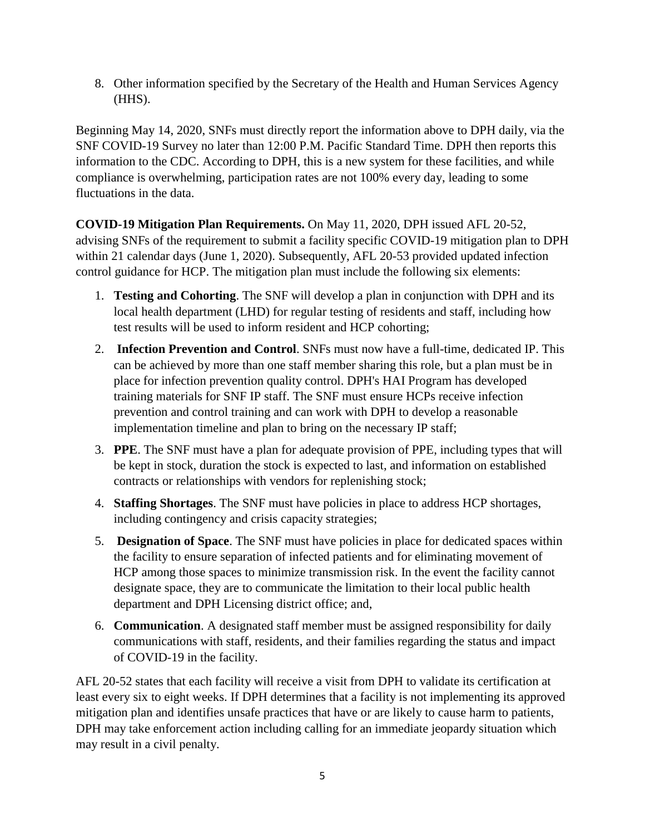8. Other information specified by the Secretary of the Health and Human Services Agency (HHS).

Beginning May 14, 2020, SNFs must directly report the information above to DPH daily, via the SNF COVID-19 Survey no later than 12:00 P.M. Pacific Standard Time. DPH then reports this information to the CDC. According to DPH, this is a new system for these facilities, and while compliance is overwhelming, participation rates are not 100% every day, leading to some fluctuations in the data.

**COVID-19 Mitigation Plan Requirements.** On May 11, 2020, DPH issued AFL 20-52, advising SNFs of the requirement to submit a facility specific COVID-19 mitigation plan to DPH within 21 calendar days (June 1, 2020). Subsequently, AFL 20-53 provided updated infection control guidance for HCP. The mitigation plan must include the following six elements:

- 1. **Testing and Cohorting**. The SNF will develop a plan in conjunction with DPH and its local health department (LHD) for regular testing of residents and staff, including how test results will be used to inform resident and HCP cohorting;
- 2. **Infection Prevention and Control**. SNFs must now have a full-time, dedicated IP. This can be achieved by more than one staff member sharing this role, but a plan must be in place for infection prevention quality control. DPH's HAI Program has developed training materials for SNF IP staff. The SNF must ensure HCPs receive infection prevention and control training and can work with DPH to develop a reasonable implementation timeline and plan to bring on the necessary IP staff;
- 3. **PPE**. The SNF must have a plan for adequate provision of PPE, including types that will be kept in stock, duration the stock is expected to last, and information on established contracts or relationships with vendors for replenishing stock;
- 4. **Staffing Shortages**. The SNF must have policies in place to address HCP shortages, including contingency and crisis capacity strategies;
- 5. **Designation of Space**. The SNF must have policies in place for dedicated spaces within the facility to ensure separation of infected patients and for eliminating movement of HCP among those spaces to minimize transmission risk. In the event the facility cannot designate space, they are to communicate the limitation to their local public health department and DPH Licensing district office; and,
- 6. **Communication**. A designated staff member must be assigned responsibility for daily communications with staff, residents, and their families regarding the status and impact of COVID-19 in the facility.

AFL 20-52 states that each facility will receive a visit from DPH to validate its certification at least every six to eight weeks. If DPH determines that a facility is not implementing its approved mitigation plan and identifies unsafe practices that have or are likely to cause harm to patients, DPH may take enforcement action including calling for an immediate jeopardy situation which may result in a civil penalty.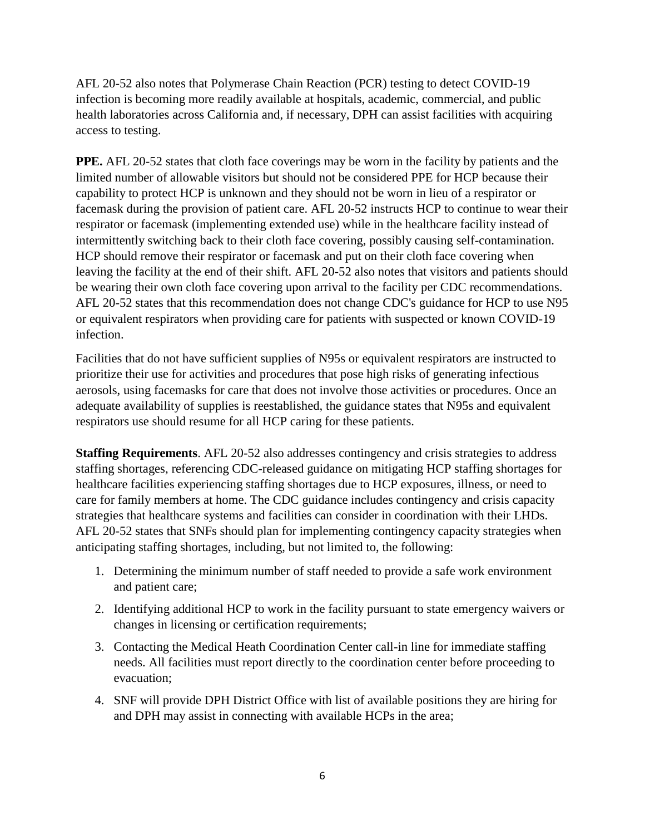AFL 20-52 also notes that Polymerase Chain Reaction (PCR) testing to detect COVID-19 infection is becoming more readily available at hospitals, academic, commercial, and public health laboratories across California and, if necessary, DPH can assist facilities with acquiring access to testing.

**PPE.** AFL 20-52 states that cloth face coverings may be worn in the facility by patients and the limited number of allowable visitors but should not be considered PPE for HCP because their capability to protect HCP is unknown and they should not be worn in lieu of a respirator or facemask during the provision of patient care. AFL 20-52 instructs HCP to continue to wear their respirator or facemask (implementing extended use) while in the healthcare facility instead of intermittently switching back to their cloth face covering, possibly causing self-contamination. HCP should remove their respirator or facemask and put on their cloth face covering when leaving the facility at the end of their shift. AFL 20-52 also notes that visitors and patients should be wearing their own cloth face covering upon arrival to the facility per CDC recommendations. AFL 20-52 states that this recommendation does not change CDC's guidance for HCP to use N95 or equivalent respirators when providing care for patients with suspected or known COVID-19 infection.

Facilities that do not have sufficient supplies of N95s or equivalent respirators are instructed to prioritize their use for activities and procedures that pose high risks of generating infectious aerosols, using facemasks for care that does not involve those activities or procedures. Once an adequate availability of supplies is reestablished, the guidance states that N95s and equivalent respirators use should resume for all HCP caring for these patients.

**Staffing Requirements**. AFL 20-52 also addresses contingency and crisis strategies to address staffing shortages, referencing CDC-released guidance on mitigating HCP staffing shortages for healthcare facilities experiencing staffing shortages due to HCP exposures, illness, or need to care for family members at home. The CDC guidance includes contingency and crisis capacity strategies that healthcare systems and facilities can consider in coordination with their LHDs. AFL 20-52 states that SNFs should plan for implementing contingency capacity strategies when anticipating staffing shortages, including, but not limited to, the following:

- 1. Determining the minimum number of staff needed to provide a safe work environment and patient care;
- 2. Identifying additional HCP to work in the facility pursuant to state emergency waivers or changes in licensing or certification requirements;
- 3. Contacting the Medical Heath Coordination Center call-in line for immediate staffing needs. All facilities must report directly to the coordination center before proceeding to evacuation;
- 4. SNF will provide DPH District Office with list of available positions they are hiring for and DPH may assist in connecting with available HCPs in the area;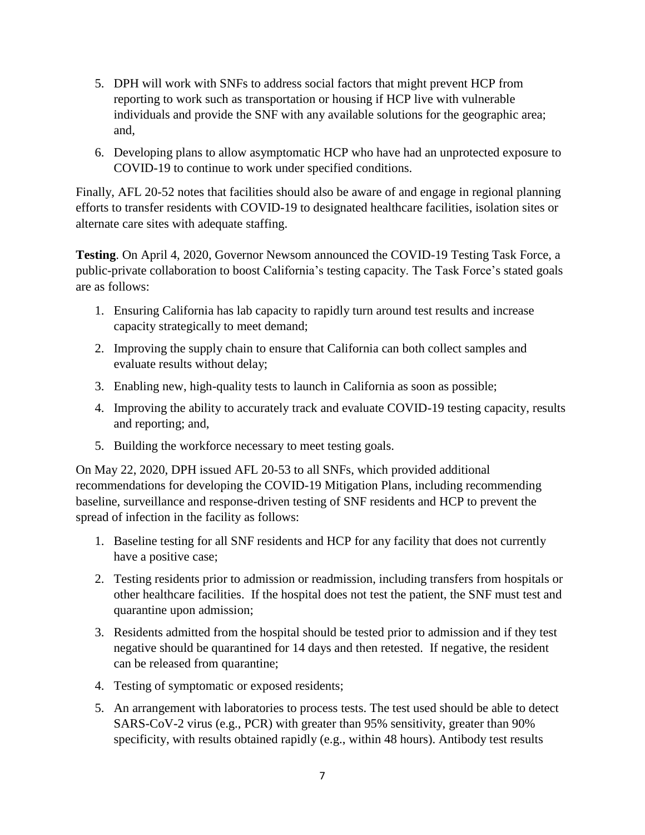- 5. DPH will work with SNFs to address social factors that might prevent HCP from reporting to work such as transportation or housing if HCP live with vulnerable individuals and provide the SNF with any available solutions for the geographic area; and,
- 6. Developing plans to allow asymptomatic HCP who have had an unprotected exposure to COVID-19 to continue to work under specified conditions.

Finally, AFL 20-52 notes that facilities should also be aware of and engage in regional planning efforts to transfer residents with COVID-19 to designated healthcare facilities, isolation sites or alternate care sites with adequate staffing.

**Testing**. On April 4, 2020, Governor Newsom announced the COVID-19 Testing Task Force, a public-private collaboration to boost California's testing capacity. The Task Force's stated goals are as follows:

- 1. Ensuring California has lab capacity to rapidly turn around test results and increase capacity strategically to meet demand;
- 2. Improving the supply chain to ensure that California can both collect samples and evaluate results without delay;
- 3. Enabling new, high-quality tests to launch in California as soon as possible;
- 4. Improving the ability to accurately track and evaluate COVID-19 testing capacity, results and reporting; and,
- 5. Building the workforce necessary to meet testing goals.

On May 22, 2020, DPH issued AFL 20-53 to all SNFs, which provided additional recommendations for developing the COVID-19 Mitigation Plans, including recommending baseline, surveillance and response-driven testing of SNF residents and HCP to prevent the spread of infection in the facility as follows:

- 1. Baseline testing for all SNF residents and HCP for any facility that does not currently have a positive case;
- 2. Testing residents prior to admission or readmission, including transfers from hospitals or other healthcare facilities. If the hospital does not test the patient, the SNF must test and quarantine upon admission;
- 3. Residents admitted from the hospital should be tested prior to admission and if they test negative should be quarantined for 14 days and then retested. If negative, the resident can be released from quarantine;
- 4. Testing of symptomatic or exposed residents;
- 5. An arrangement with laboratories to process tests. The test used should be able to detect SARS-CoV-2 virus (e.g., PCR) with greater than 95% sensitivity, greater than 90% specificity, with results obtained rapidly (e.g., within 48 hours). Antibody test results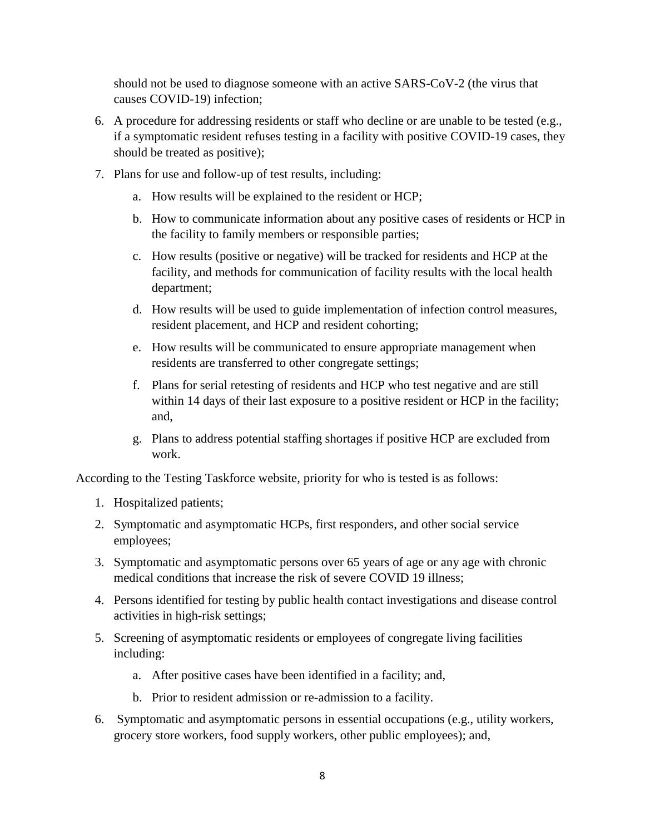should not be used to diagnose someone with an active SARS-CoV-2 (the virus that causes COVID-19) infection;

- 6. A procedure for addressing residents or staff who decline or are unable to be tested (e.g., if a symptomatic resident refuses testing in a facility with positive COVID-19 cases, they should be treated as positive);
- 7. Plans for use and follow-up of test results, including:
	- a. How results will be explained to the resident or HCP;
	- b. How to communicate information about any positive cases of residents or HCP in the facility to family members or responsible parties;
	- c. How results (positive or negative) will be tracked for residents and HCP at the facility, and methods for communication of facility results with the local health department;
	- d. How results will be used to guide implementation of infection control measures, resident placement, and HCP and resident cohorting;
	- e. How results will be communicated to ensure appropriate management when residents are transferred to other congregate settings;
	- f. Plans for serial retesting of residents and HCP who test negative and are still within 14 days of their last exposure to a positive resident or HCP in the facility; and,
	- g. Plans to address potential staffing shortages if positive HCP are excluded from work.

According to the Testing Taskforce website, priority for who is tested is as follows:

- 1. Hospitalized patients;
- 2. Symptomatic and asymptomatic HCPs, first responders, and other social service employees;
- 3. Symptomatic and asymptomatic persons over 65 years of age or any age with chronic medical conditions that increase the risk of severe COVID 19 illness;
- 4. Persons identified for testing by public health contact investigations and disease control activities in high-risk settings;
- 5. Screening of asymptomatic residents or employees of congregate living facilities including:
	- a. After positive cases have been identified in a facility; and,
	- b. Prior to resident admission or re-admission to a facility.
- 6. Symptomatic and asymptomatic persons in essential occupations (e.g., utility workers, grocery store workers, food supply workers, other public employees); and,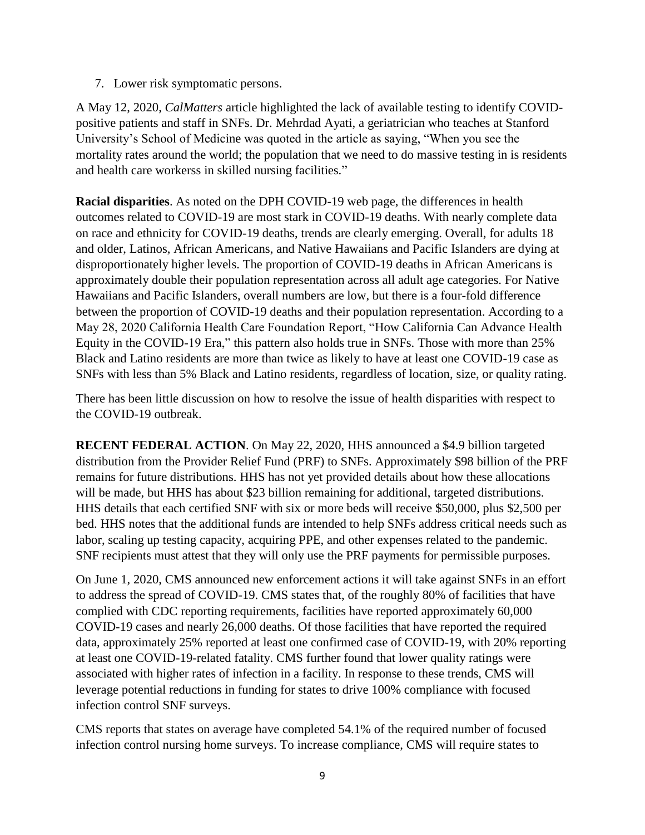7. Lower risk symptomatic persons.

A May 12, 2020, *CalMatters* article highlighted the lack of available testing to identify COVIDpositive patients and staff in SNFs. Dr. Mehrdad Ayati, a geriatrician who teaches at Stanford University's School of Medicine was quoted in the article as saying, "When you see the mortality rates around the world; the population that we need to do massive testing in is residents and health care workerss in skilled nursing facilities."

**Racial disparities**. As noted on the DPH COVID-19 web page, the differences in health outcomes related to COVID-19 are most stark in COVID-19 deaths. With nearly complete data on race and ethnicity for COVID-19 deaths, trends are clearly emerging. Overall, for adults 18 and older, Latinos, African Americans, and Native Hawaiians and Pacific Islanders are dying at disproportionately higher levels. The proportion of COVID-19 deaths in African Americans is approximately double their population representation across all adult age categories. For Native Hawaiians and Pacific Islanders, overall numbers are low, but there is a four-fold difference between the proportion of COVID-19 deaths and their population representation. According to a May 28, 2020 California Health Care Foundation Report, "How California Can Advance Health Equity in the COVID-19 Era," this pattern also holds true in SNFs. Those with more than 25% Black and Latino residents are more than twice as likely to have at least one COVID-19 case as SNFs with less than 5% Black and Latino residents, regardless of location, size, or quality rating.

There has been little discussion on how to resolve the issue of health disparities with respect to the COVID-19 outbreak.

**RECENT FEDERAL ACTION**. On May 22, 2020, HHS announced a \$4.9 billion targeted distribution from the Provider Relief Fund (PRF) to SNFs. Approximately \$98 billion of the PRF remains for future distributions. HHS has not yet provided details about how these allocations will be made, but HHS has about \$23 billion remaining for additional, targeted distributions. HHS details that each certified SNF with six or more beds will receive \$50,000, plus \$2,500 per bed. HHS notes that the additional funds are intended to help SNFs address critical needs such as labor, scaling up testing capacity, acquiring PPE, and other expenses related to the pandemic. SNF recipients must attest that they will only use the PRF payments for permissible purposes.

On June 1, 2020, CMS announced new enforcement actions it will take against SNFs in an effort to address the spread of COVID-19. CMS states that, of the roughly 80% of facilities that have complied with CDC reporting requirements, facilities have reported approximately 60,000 COVID-19 cases and nearly 26,000 deaths. Of those facilities that have reported the required data, approximately 25% reported at least one confirmed case of COVID-19, with 20% reporting at least one COVID-19-related fatality. CMS further found that lower quality ratings were associated with higher rates of infection in a facility. In response to these trends, CMS will leverage potential reductions in funding for states to drive 100% compliance with focused infection control SNF surveys.

CMS reports that states on average have completed 54.1% of the required number of focused infection control nursing home surveys. To increase compliance, CMS will require states to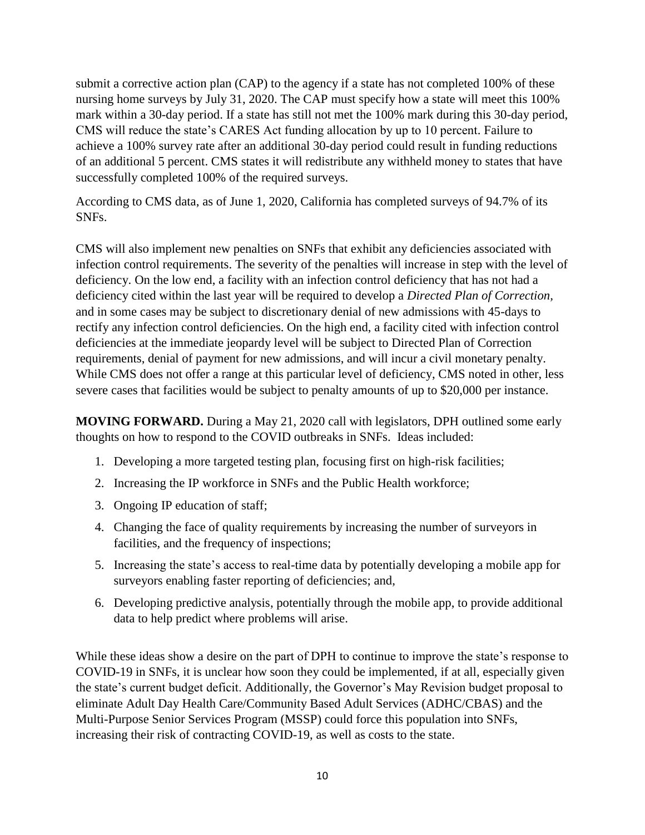submit a corrective action plan (CAP) to the agency if a state has not completed 100% of these nursing home surveys by July 31, 2020. The CAP must specify how a state will meet this 100% mark within a 30-day period. If a state has still not met the 100% mark during this 30-day period, CMS will reduce the state's CARES Act funding allocation by up to 10 percent. Failure to achieve a 100% survey rate after an additional 30-day period could result in funding reductions of an additional 5 percent. CMS states it will redistribute any withheld money to states that have successfully completed 100% of the required surveys.

According to CMS data, as of June 1, 2020, California has completed surveys of 94.7% of its SNFs.

CMS will also implement new penalties on SNFs that exhibit any deficiencies associated with infection control requirements. The severity of the penalties will increase in step with the level of deficiency. On the low end, a facility with an infection control deficiency that has not had a deficiency cited within the last year will be required to develop a *Directed Plan of Correction,* and in some cases may be subject to discretionary denial of new admissions with 45-days to rectify any infection control deficiencies. On the high end, a facility cited with infection control deficiencies at the immediate jeopardy level will be subject to Directed Plan of Correction requirements, denial of payment for new admissions, and will incur a civil monetary penalty. While CMS does not offer a range at this particular level of deficiency, CMS noted in other, less severe cases that facilities would be subject to penalty amounts of up to \$20,000 per instance.

**MOVING FORWARD.** During a May 21, 2020 call with legislators, DPH outlined some early thoughts on how to respond to the COVID outbreaks in SNFs. Ideas included:

- 1. Developing a more targeted testing plan, focusing first on high-risk facilities;
- 2. Increasing the IP workforce in SNFs and the Public Health workforce;
- 3. Ongoing IP education of staff;
- 4. Changing the face of quality requirements by increasing the number of surveyors in facilities, and the frequency of inspections;
- 5. Increasing the state's access to real-time data by potentially developing a mobile app for surveyors enabling faster reporting of deficiencies; and,
- 6. Developing predictive analysis, potentially through the mobile app, to provide additional data to help predict where problems will arise.

While these ideas show a desire on the part of DPH to continue to improve the state's response to COVID-19 in SNFs, it is unclear how soon they could be implemented, if at all, especially given the state's current budget deficit. Additionally, the Governor's May Revision budget proposal to eliminate Adult Day Health Care/Community Based Adult Services (ADHC/CBAS) and the Multi-Purpose Senior Services Program (MSSP) could force this population into SNFs, increasing their risk of contracting COVID-19, as well as costs to the state.